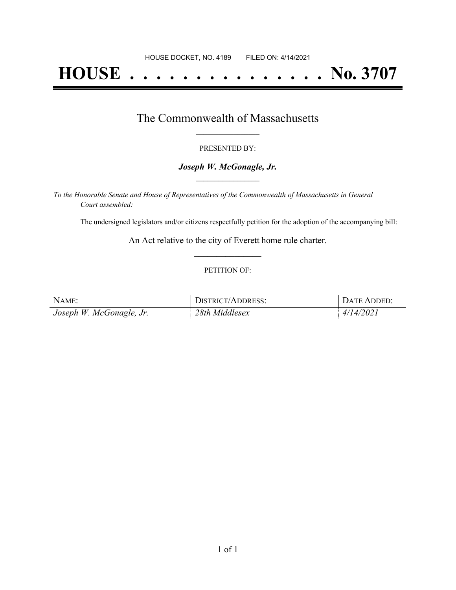# **HOUSE . . . . . . . . . . . . . . . No. 3707**

### The Commonwealth of Massachusetts **\_\_\_\_\_\_\_\_\_\_\_\_\_\_\_\_\_**

### PRESENTED BY:

### *Joseph W. McGonagle, Jr.* **\_\_\_\_\_\_\_\_\_\_\_\_\_\_\_\_\_**

*To the Honorable Senate and House of Representatives of the Commonwealth of Massachusetts in General Court assembled:*

The undersigned legislators and/or citizens respectfully petition for the adoption of the accompanying bill:

An Act relative to the city of Everett home rule charter. **\_\_\_\_\_\_\_\_\_\_\_\_\_\_\_**

### PETITION OF:

| NAME:                    | DISTRICT/ADDRESS: | DATE ADDED: |
|--------------------------|-------------------|-------------|
| Joseph W. McGonagle, Jr. | 28th Middlesex    | 4/14/2021   |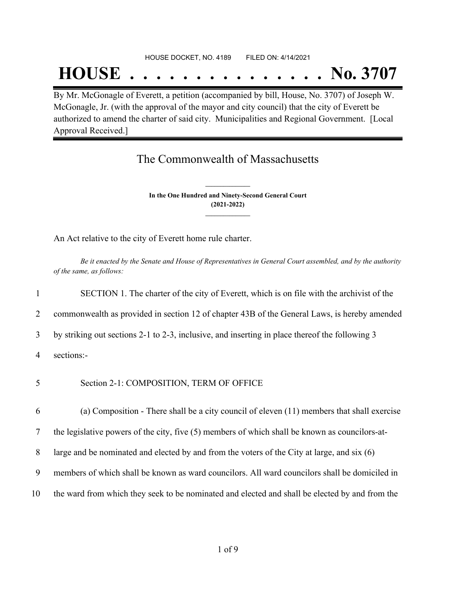#### HOUSE DOCKET, NO. 4189 FILED ON: 4/14/2021

## **HOUSE . . . . . . . . . . . . . . . No. 3707**

By Mr. McGonagle of Everett, a petition (accompanied by bill, House, No. 3707) of Joseph W. McGonagle, Jr. (with the approval of the mayor and city council) that the city of Everett be authorized to amend the charter of said city. Municipalities and Regional Government. [Local Approval Received.]

## The Commonwealth of Massachusetts

**In the One Hundred and Ninety-Second General Court (2021-2022) \_\_\_\_\_\_\_\_\_\_\_\_\_\_\_**

**\_\_\_\_\_\_\_\_\_\_\_\_\_\_\_**

An Act relative to the city of Everett home rule charter.

Be it enacted by the Senate and House of Representatives in General Court assembled, and by the authority *of the same, as follows:*

1 SECTION 1. The charter of the city of Everett, which is on file with the archivist of the

2 commonwealth as provided in section 12 of chapter 43B of the General Laws, is hereby amended

3 by striking out sections 2-1 to 2-3, inclusive, and inserting in place thereof the following 3

4 sections:-

5 Section 2-1: COMPOSITION, TERM OF OFFICE

6 (a) Composition - There shall be a city council of eleven (11) members that shall exercise

7 the legislative powers of the city, five (5) members of which shall be known as councilors-at-

8 large and be nominated and elected by and from the voters of the City at large, and six (6)

- 9 members of which shall be known as ward councilors. All ward councilors shall be domiciled in
- 10 the ward from which they seek to be nominated and elected and shall be elected by and from the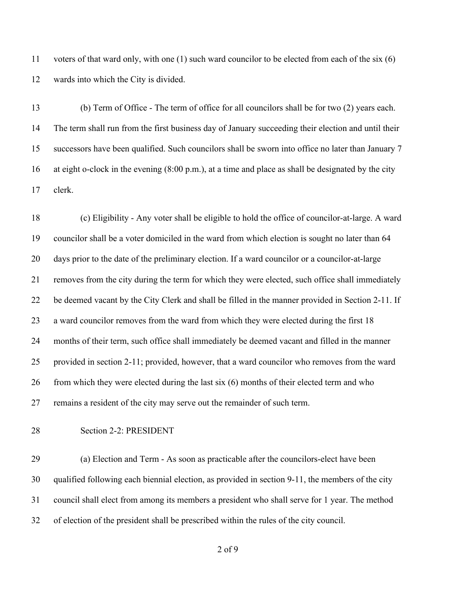voters of that ward only, with one (1) such ward councilor to be elected from each of the six (6) wards into which the City is divided.

 (b) Term of Office - The term of office for all councilors shall be for two (2) years each. The term shall run from the first business day of January succeeding their election and until their successors have been qualified. Such councilors shall be sworn into office no later than January 7 at eight o-clock in the evening (8:00 p.m.), at a time and place as shall be designated by the city clerk.

 (c) Eligibility - Any voter shall be eligible to hold the office of councilor-at-large. A ward councilor shall be a voter domiciled in the ward from which election is sought no later than 64 days prior to the date of the preliminary election. If a ward councilor or a councilor-at-large removes from the city during the term for which they were elected, such office shall immediately be deemed vacant by the City Clerk and shall be filled in the manner provided in Section 2-11. If a ward councilor removes from the ward from which they were elected during the first 18 months of their term, such office shall immediately be deemed vacant and filled in the manner provided in section 2-11; provided, however, that a ward councilor who removes from the ward 26 from which they were elected during the last six (6) months of their elected term and who remains a resident of the city may serve out the remainder of such term.

Section 2-2: PRESIDENT

 (a) Election and Term - As soon as practicable after the councilors-elect have been qualified following each biennial election, as provided in section 9-11, the members of the city council shall elect from among its members a president who shall serve for 1 year. The method of election of the president shall be prescribed within the rules of the city council.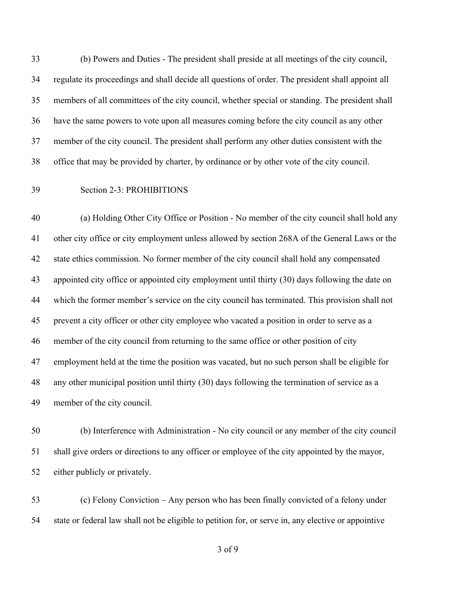(b) Powers and Duties - The president shall preside at all meetings of the city council, regulate its proceedings and shall decide all questions of order. The president shall appoint all members of all committees of the city council, whether special or standing. The president shall have the same powers to vote upon all measures coming before the city council as any other member of the city council. The president shall perform any other duties consistent with the office that may be provided by charter, by ordinance or by other vote of the city council.

### Section 2-3: PROHIBITIONS

 (a) Holding Other City Office or Position - No member of the city council shall hold any other city office or city employment unless allowed by section 268A of the General Laws or the state ethics commission. No former member of the city council shall hold any compensated appointed city office or appointed city employment until thirty (30) days following the date on which the former member's service on the city council has terminated. This provision shall not prevent a city officer or other city employee who vacated a position in order to serve as a member of the city council from returning to the same office or other position of city employment held at the time the position was vacated, but no such person shall be eligible for any other municipal position until thirty (30) days following the termination of service as a member of the city council.

 (b) Interference with Administration - No city council or any member of the city council shall give orders or directions to any officer or employee of the city appointed by the mayor, either publicly or privately.

 (c) Felony Conviction – Any person who has been finally convicted of a felony under state or federal law shall not be eligible to petition for, or serve in, any elective or appointive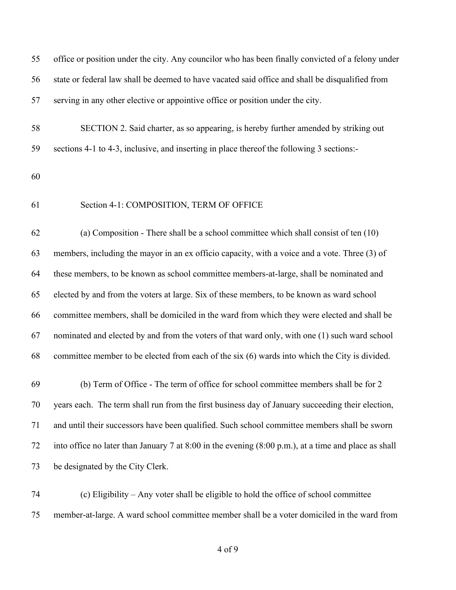| 55 | office or position under the city. Any councilor who has been finally convicted of a felony under               |
|----|-----------------------------------------------------------------------------------------------------------------|
| 56 | state or federal law shall be deemed to have vacated said office and shall be disqualified from                 |
| 57 | serving in any other elective or appointive office or position under the city.                                  |
| 58 | SECTION 2. Said charter, as so appearing, is hereby further amended by striking out                             |
| 59 | sections 4-1 to 4-3, inclusive, and inserting in place thereof the following 3 sections:-                       |
| 60 |                                                                                                                 |
| 61 | Section 4-1: COMPOSITION, TERM OF OFFICE                                                                        |
| 62 | (a) Composition - There shall be a school committee which shall consist of ten $(10)$                           |
| 63 | members, including the mayor in an ex officio capacity, with a voice and a vote. Three (3) of                   |
| 64 | these members, to be known as school committee members-at-large, shall be nominated and                         |
| 65 | elected by and from the voters at large. Six of these members, to be known as ward school                       |
| 66 | committee members, shall be domiciled in the ward from which they were elected and shall be                     |
| 67 | nominated and elected by and from the voters of that ward only, with one (1) such ward school                   |
| 68 | committee member to be elected from each of the $six(6)$ wards into which the City is divided.                  |
| 69 | (b) Term of Office - The term of office for school committee members shall be for 2                             |
| 70 | years each. The term shall run from the first business day of January succeeding their election,                |
| 71 | and until their successors have been qualified. Such school committee members shall be sworn                    |
| 72 | into office no later than January 7 at 8:00 in the evening $(8:00 \text{ p.m.})$ , at a time and place as shall |
| 73 | be designated by the City Clerk.                                                                                |
|    |                                                                                                                 |

 (c) Eligibility – Any voter shall be eligible to hold the office of school committee member-at-large. A ward school committee member shall be a voter domiciled in the ward from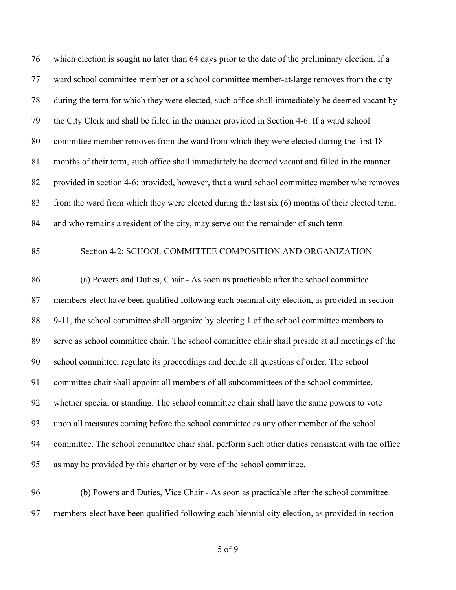which election is sought no later than 64 days prior to the date of the preliminary election. If a ward school committee member or a school committee member-at-large removes from the city during the term for which they were elected, such office shall immediately be deemed vacant by the City Clerk and shall be filled in the manner provided in Section 4-6. If a ward school committee member removes from the ward from which they were elected during the first 18 months of their term, such office shall immediately be deemed vacant and filled in the manner provided in section 4-6; provided, however, that a ward school committee member who removes from the ward from which they were elected during the last six (6) months of their elected term, and who remains a resident of the city, may serve out the remainder of such term.

### Section 4-2: SCHOOL COMMITTEE COMPOSITION AND ORGANIZATION

 (a) Powers and Duties, Chair - As soon as practicable after the school committee members-elect have been qualified following each biennial city election, as provided in section 9-11, the school committee shall organize by electing 1 of the school committee members to serve as school committee chair. The school committee chair shall preside at all meetings of the school committee, regulate its proceedings and decide all questions of order. The school committee chair shall appoint all members of all subcommittees of the school committee, whether special or standing. The school committee chair shall have the same powers to vote upon all measures coming before the school committee as any other member of the school committee. The school committee chair shall perform such other duties consistent with the office as may be provided by this charter or by vote of the school committee.

 (b) Powers and Duties, Vice Chair - As soon as practicable after the school committee members-elect have been qualified following each biennial city election, as provided in section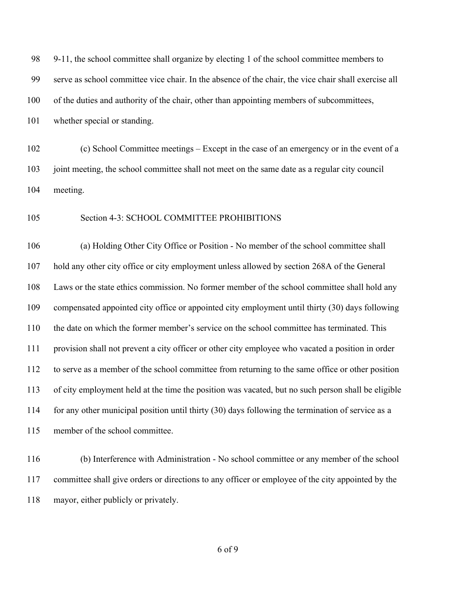| 9-11, the school committee shall organize by electing 1 of the school committee members to           |
|------------------------------------------------------------------------------------------------------|
| serve as school committee vice chair. In the absence of the chair, the vice chair shall exercise all |
| of the duties and authority of the chair, other than appointing members of subcommittees,            |
| whether special or standing.                                                                         |
| (c) School Committee meetings – Except in the case of an emergency or in the event of a              |
| joint meeting, the school committee shall not meet on the same date as a regular city council        |
| meeting.                                                                                             |
| Section 4-3: SCHOOL COMMITTEE PROHIBITIONS                                                           |
| (a) Holding Other City Office or Position - No member of the school committee shall                  |
| hold any other city office or city employment unless allowed by section 268A of the General          |
| Laws or the state ethics commission. No former member of the school committee shall hold any         |
| compensated appointed city office or appointed city employment until thirty (30) days following      |
| the date on which the former member's service on the school committee has terminated. This           |
| provision shall not prevent a city officer or other city employee who vacated a position in order    |
| to serve as a member of the school committee from returning to the same office or other position     |
| of city employment held at the time the position was vacated, but no such person shall be eligible   |
| for any other municipal position until thirty (30) days following the termination of service as a    |
| member of the school committee.                                                                      |
|                                                                                                      |

 (b) Interference with Administration - No school committee or any member of the school committee shall give orders or directions to any officer or employee of the city appointed by the mayor, either publicly or privately.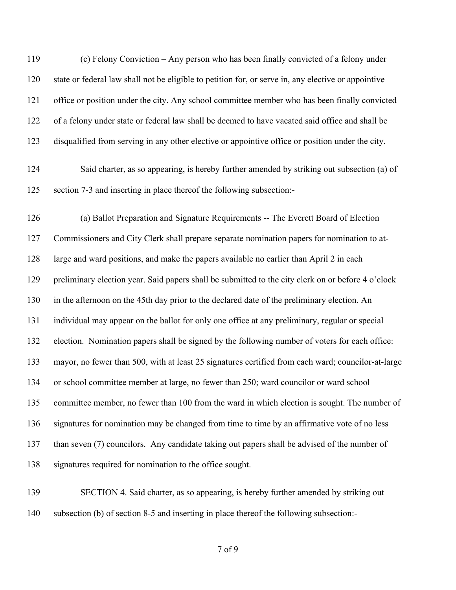(c) Felony Conviction – Any person who has been finally convicted of a felony under state or federal law shall not be eligible to petition for, or serve in, any elective or appointive office or position under the city. Any school committee member who has been finally convicted of a felony under state or federal law shall be deemed to have vacated said office and shall be disqualified from serving in any other elective or appointive office or position under the city.

 Said charter, as so appearing, is hereby further amended by striking out subsection (a) of section 7-3 and inserting in place thereof the following subsection:-

 (a) Ballot Preparation and Signature Requirements -- The Everett Board of Election Commissioners and City Clerk shall prepare separate nomination papers for nomination to at- large and ward positions, and make the papers available no earlier than April 2 in each preliminary election year. Said papers shall be submitted to the city clerk on or before 4 o'clock in the afternoon on the 45th day prior to the declared date of the preliminary election. An individual may appear on the ballot for only one office at any preliminary, regular or special election. Nomination papers shall be signed by the following number of voters for each office: mayor, no fewer than 500, with at least 25 signatures certified from each ward; councilor-at-large or school committee member at large, no fewer than 250; ward councilor or ward school committee member, no fewer than 100 from the ward in which election is sought. The number of signatures for nomination may be changed from time to time by an affirmative vote of no less than seven (7) councilors. Any candidate taking out papers shall be advised of the number of signatures required for nomination to the office sought.

 SECTION 4. Said charter, as so appearing, is hereby further amended by striking out subsection (b) of section 8-5 and inserting in place thereof the following subsection:-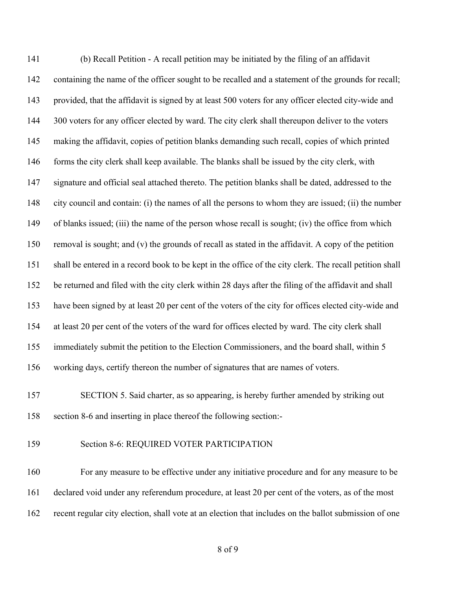(b) Recall Petition - A recall petition may be initiated by the filing of an affidavit containing the name of the officer sought to be recalled and a statement of the grounds for recall; provided, that the affidavit is signed by at least 500 voters for any officer elected city-wide and 144 300 voters for any officer elected by ward. The city clerk shall thereupon deliver to the voters making the affidavit, copies of petition blanks demanding such recall, copies of which printed 146 forms the city clerk shall keep available. The blanks shall be issued by the city clerk, with signature and official seal attached thereto. The petition blanks shall be dated, addressed to the city council and contain: (i) the names of all the persons to whom they are issued; (ii) the number of blanks issued; (iii) the name of the person whose recall is sought; (iv) the office from which removal is sought; and (v) the grounds of recall as stated in the affidavit. A copy of the petition shall be entered in a record book to be kept in the office of the city clerk. The recall petition shall be returned and filed with the city clerk within 28 days after the filing of the affidavit and shall have been signed by at least 20 per cent of the voters of the city for offices elected city-wide and at least 20 per cent of the voters of the ward for offices elected by ward. The city clerk shall immediately submit the petition to the Election Commissioners, and the board shall, within 5 working days, certify thereon the number of signatures that are names of voters.

 SECTION 5. Said charter, as so appearing, is hereby further amended by striking out section 8-6 and inserting in place thereof the following section:-

### Section 8-6: REQUIRED VOTER PARTICIPATION

 For any measure to be effective under any initiative procedure and for any measure to be declared void under any referendum procedure, at least 20 per cent of the voters, as of the most recent regular city election, shall vote at an election that includes on the ballot submission of one